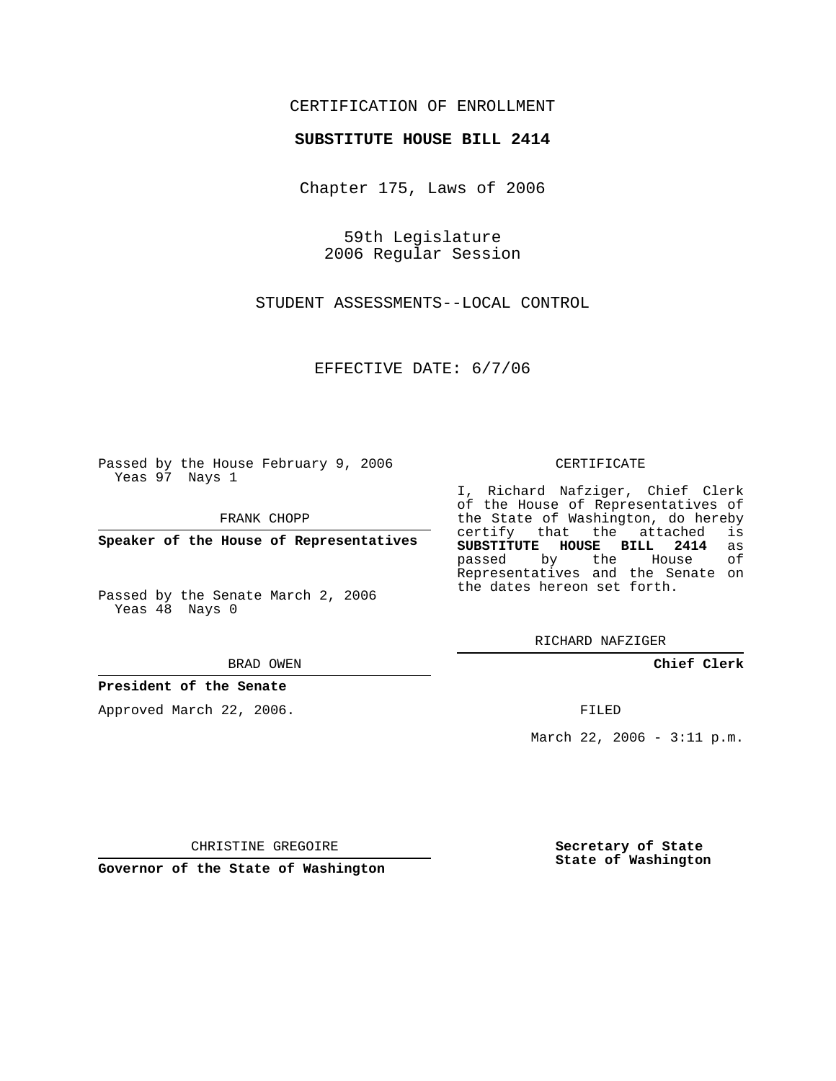# CERTIFICATION OF ENROLLMENT

#### **SUBSTITUTE HOUSE BILL 2414**

Chapter 175, Laws of 2006

59th Legislature 2006 Regular Session

STUDENT ASSESSMENTS--LOCAL CONTROL

EFFECTIVE DATE: 6/7/06

Passed by the House February 9, 2006 Yeas 97 Nays 1

FRANK CHOPP

**Speaker of the House of Representatives**

Passed by the Senate March 2, 2006 Yeas 48 Nays 0

BRAD OWEN

### **President of the Senate**

Approved March 22, 2006.

CERTIFICATE

I, Richard Nafziger, Chief Clerk of the House of Representatives of the State of Washington, do hereby<br>certify that the attached is certify that the attached **SUBSTITUTE HOUSE BILL 2414** as passed by the Representatives and the Senate on the dates hereon set forth.

RICHARD NAFZIGER

**Chief Clerk**

FILED

March 22, 2006 - 3:11 p.m.

CHRISTINE GREGOIRE

**Governor of the State of Washington**

**Secretary of State State of Washington**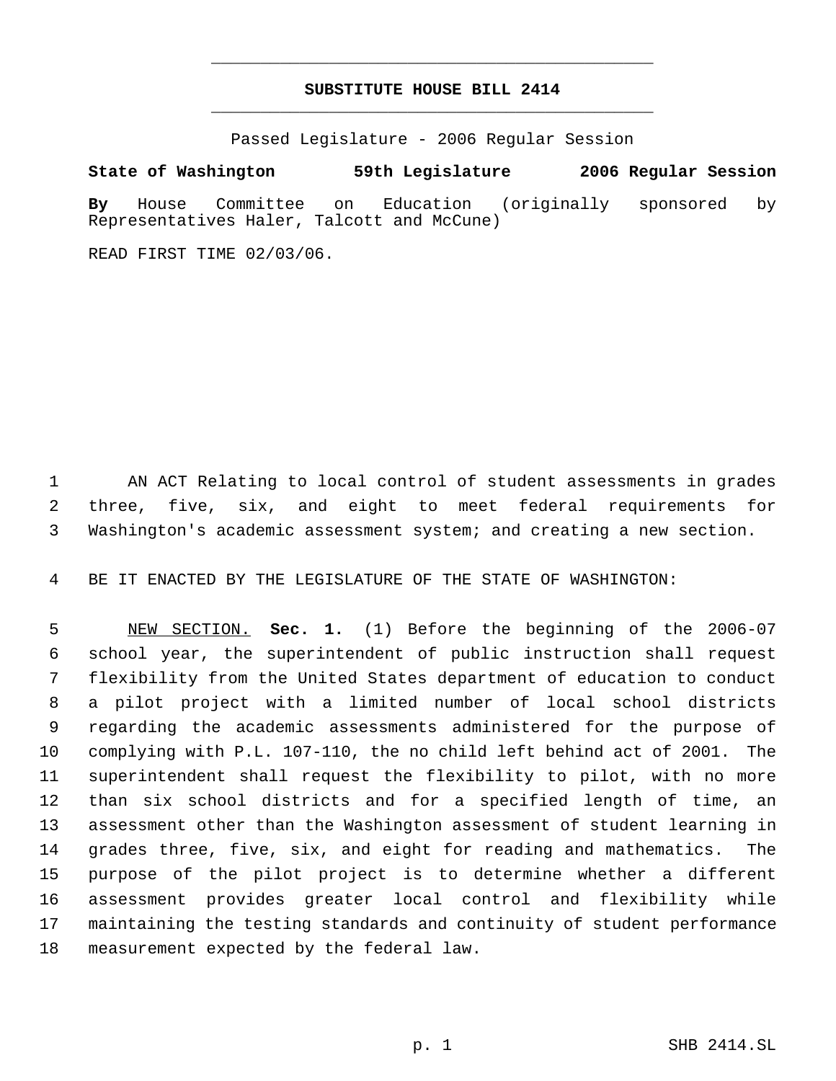# **SUBSTITUTE HOUSE BILL 2414** \_\_\_\_\_\_\_\_\_\_\_\_\_\_\_\_\_\_\_\_\_\_\_\_\_\_\_\_\_\_\_\_\_\_\_\_\_\_\_\_\_\_\_\_\_

\_\_\_\_\_\_\_\_\_\_\_\_\_\_\_\_\_\_\_\_\_\_\_\_\_\_\_\_\_\_\_\_\_\_\_\_\_\_\_\_\_\_\_\_\_

Passed Legislature - 2006 Regular Session

## **State of Washington 59th Legislature 2006 Regular Session**

**By** House Committee on Education (originally sponsored by Representatives Haler, Talcott and McCune)

READ FIRST TIME 02/03/06.

 AN ACT Relating to local control of student assessments in grades three, five, six, and eight to meet federal requirements for Washington's academic assessment system; and creating a new section.

BE IT ENACTED BY THE LEGISLATURE OF THE STATE OF WASHINGTON:

 NEW SECTION. **Sec. 1.** (1) Before the beginning of the 2006-07 school year, the superintendent of public instruction shall request flexibility from the United States department of education to conduct a pilot project with a limited number of local school districts regarding the academic assessments administered for the purpose of complying with P.L. 107-110, the no child left behind act of 2001. The superintendent shall request the flexibility to pilot, with no more than six school districts and for a specified length of time, an assessment other than the Washington assessment of student learning in grades three, five, six, and eight for reading and mathematics. The purpose of the pilot project is to determine whether a different assessment provides greater local control and flexibility while maintaining the testing standards and continuity of student performance measurement expected by the federal law.